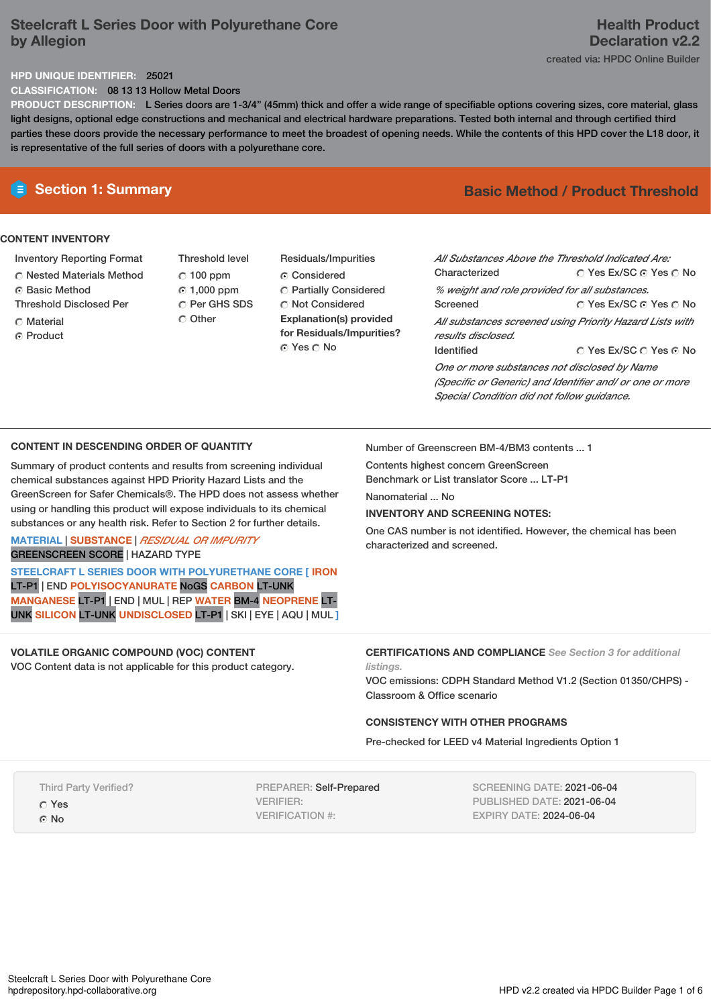# **Steelcraft L Series Door with Polyurethane Core by Allegion**

# **Health Product Declaration v2.2**

created via: HPDC Online Builder

## **HPD UNIQUE IDENTIFIER:** 25021

**CLASSIFICATION:** 08 13 13 Hollow Metal Doors

**PRODUCT DESCRIPTION:** L Series doors are 1-3/4" (45mm) thick and offer a wide range of specifiable options covering sizes, core material, glass light designs, optional edge constructions and mechanical and electrical hardware preparations. Tested both internal and through certified third parties these doors provide the necessary performance to meet the broadest of opening needs. While the contents of this HPD cover the L18 door, it is representative of the full series of doors with a polyurethane core.

## **CONTENT INVENTORY**

- Inventory Reporting Format
- Nested Materials Method
- **C** Basic Method
- Threshold Disclosed Per
- Material
- ⊙ Product
- Threshold level  $C$  100 ppm 1,000 ppm C Per GHS SDS C Other
- Residuals/Impurities Considered Partially Considered  $\bigcirc$  Not Considered **Explanation(s) provided for Residuals/Impurities?** © Yes ∩ No

# **E** Section 1: Summary **Basic** Method **/** Product Threshold

| All Substances Above the Threshold Indicated Are:        |                        |  |  |  |
|----------------------------------------------------------|------------------------|--|--|--|
| Characterized                                            | ∩ Yes Ex/SC ∩ Yes ∩ No |  |  |  |
| % weight and role provided for all substances.           |                        |  |  |  |
| Screened                                                 | ○ Yes Ex/SC ⊙ Yes ○ No |  |  |  |
| All substances screened using Priority Hazard Lists with |                        |  |  |  |
| results disclosed.                                       |                        |  |  |  |
| <b>Identified</b>                                        | ∩ Yes Ex/SC ∩ Yes ∩ No |  |  |  |
| One or more substances not disclosed by Name             |                        |  |  |  |
| (Specific or Generic) and Identifier and/ or one or more |                        |  |  |  |
| Special Condition did not follow quidance.               |                        |  |  |  |

## **CONTENT IN DESCENDING ORDER OF QUANTITY**

Summary of product contents and results from screening individual chemical substances against HPD Priority Hazard Lists and the GreenScreen for Safer Chemicals®. The HPD does not assess whether using or handling this product will expose individuals to its chemical substances or any health risk. Refer to Section 2 for further details.

## **MATERIAL** | **SUBSTANCE** | *RESIDUAL OR IMPURITY* GREENSCREEN SCORE | HAZARD TYPE

**STEELCRAFT L SERIES DOOR WITH POLYURETHANE CORE [ IRON** LT-P1 | END **POLYISOCYANURATE** NoGS **CARBON** LT-UNK **MANGANESE** LT-P1 | END | MUL | REP **WATER** BM-4 **NEOPRENE** LT-UNK **SILICON** LT-UNK **UNDISCLOSED** LT-P1 | SKI | EYE | AQU | MUL **]**

**VOLATILE ORGANIC COMPOUND (VOC) CONTENT** VOC Content data is not applicable for this product category. Number of Greenscreen BM-4/BM3 contents ... 1

Contents highest concern GreenScreen Benchmark or List translator Score ... LT-P1

Nanomaterial ... No

*listings.*

## **INVENTORY AND SCREENING NOTES:**

One CAS number is not identified. However, the chemical has been characterized and screened.

**CERTIFICATIONS AND COMPLIANCE** *See Section 3 for additional*

### VOC emissions: CDPH Standard Method V1.2 (Section 01350/CHPS) - Classroom & Office scenario

## **CONSISTENCY WITH OTHER PROGRAMS**

Pre-checked for LEED v4 Material Ingredients Option 1

Third Party Verified?

Yes

G No

PREPARER: Self-Prepared VERIFIER: VERIFICATION #:

SCREENING DATE: 2021-06-04 PUBLISHED DATE: 2021-06-04 EXPIRY DATE: 2024-06-04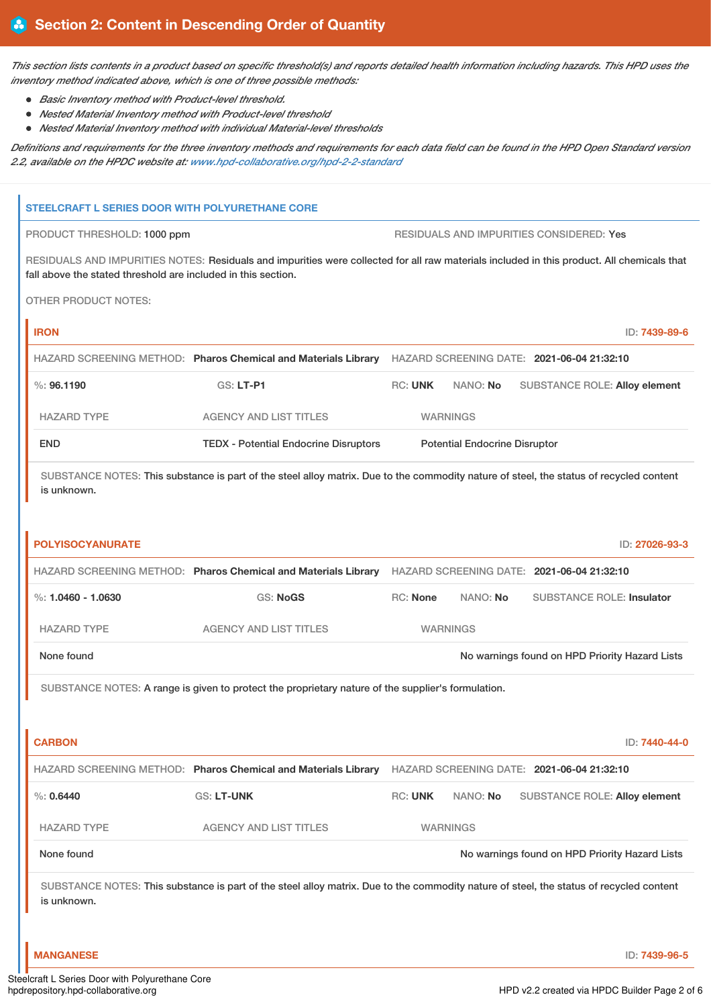This section lists contents in a product based on specific threshold(s) and reports detailed health information including hazards. This HPD uses the *inventory method indicated above, which is one of three possible methods:*

- *Basic Inventory method with Product-level threshold.*
- *Nested Material Inventory method with Product-level threshold*
- *Nested Material Inventory method with individual Material-level thresholds*

Definitions and requirements for the three inventory methods and requirements for each data field can be found in the HPD Open Standard version *2.2, available on the HPDC website at: [www.hpd-collaborative.org/hpd-2-2-standard](https://www.hpd-collaborative.org/hpd-2-2-standard)*

### **STEELCRAFT L SERIES DOOR WITH POLYURETHANE CORE**

PRODUCT THRESHOLD: 1000 ppm  $\qquad \qquad$  RESIDUALS AND IMPURITIES CONSIDERED: Yes

RESIDUALS AND IMPURITIES NOTES: Residuals and impurities were collected for all raw materials included in this product. All chemicals that fall above the stated threshold are included in this section.

OTHER PRODUCT NOTES:

| <b>IRON</b>                                                                                                                                            |                                                                |                |                                      |                                            | ID: 7439-89-6  |
|--------------------------------------------------------------------------------------------------------------------------------------------------------|----------------------------------------------------------------|----------------|--------------------------------------|--------------------------------------------|----------------|
|                                                                                                                                                        | HAZARD SCREENING METHOD: Pharos Chemical and Materials Library |                |                                      | HAZARD SCREENING DATE: 2021-06-04 21:32:10 |                |
| $\%$ : 96.1190                                                                                                                                         | GS: LT-P1                                                      | <b>RC: UNK</b> | NANO: No                             | <b>SUBSTANCE ROLE: Alloy element</b>       |                |
| <b>HAZARD TYPE</b>                                                                                                                                     | <b>AGENCY AND LIST TITLES</b>                                  |                | <b>WARNINGS</b>                      |                                            |                |
| <b>END</b>                                                                                                                                             | <b>TEDX</b> - Potential Endocrine Disruptors                   |                | <b>Potential Endocrine Disruptor</b> |                                            |                |
| SUBSTANCE NOTES: This substance is part of the steel alloy matrix. Due to the commodity nature of steel, the status of recycled content<br>is unknown. |                                                                |                |                                      |                                            |                |
| <b>POLYISOCYANURATE</b>                                                                                                                                |                                                                |                |                                      |                                            | ID: 27026-93-3 |

|                                                              | HAZARD SCREENING METHOD: Pharos Chemical and Materials Library |                 |          | HAZARD SCREENING DATE: 2021-06-04 21:32:10 |
|--------------------------------------------------------------|----------------------------------------------------------------|-----------------|----------|--------------------------------------------|
| %: 1.0460 - 1.0630                                           | GS: NoGS                                                       | $RC:$ None      | NANO: No | <b>SUBSTANCE ROLE: Insulator</b>           |
| HAZARD TYPE                                                  | AGENCY AND LIST TITLES                                         | <b>WARNINGS</b> |          |                                            |
| No warnings found on HPD Priority Hazard Lists<br>None found |                                                                |                 |          |                                            |

SUBSTANCE NOTES: A range is given to protect the proprietary nature of the supplier's formulation.

| <b>CARBON</b>      |                                                                |                                            |                 | ID: 7440-44-0                                  |
|--------------------|----------------------------------------------------------------|--------------------------------------------|-----------------|------------------------------------------------|
|                    | HAZARD SCREENING METHOD: Pharos Chemical and Materials Library | HAZARD SCREENING DATE: 2021-06-04 21:32:10 |                 |                                                |
| $\%$ : 0.6440      | <b>GS: LT-UNK</b>                                              | <b>RC: UNK</b>                             | NANO: No        | <b>SUBSTANCE ROLE: Alloy element</b>           |
| <b>HAZARD TYPE</b> | AGENCY AND LIST TITLES                                         |                                            | <b>WARNINGS</b> |                                                |
| None found         |                                                                |                                            |                 | No warnings found on HPD Priority Hazard Lists |

SUBSTANCE NOTES: This substance is part of the steel alloy matrix. Due to the commodity nature of steel, the status of recycled content is unknown.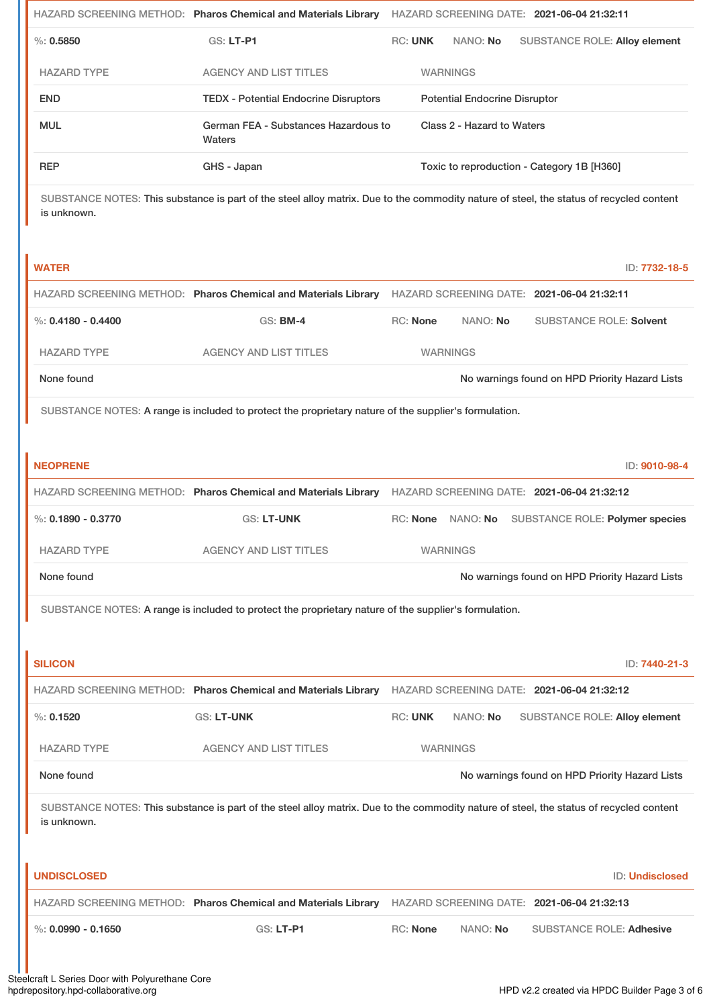|                                                                                                                                                        | HAZARD SCREENING METHOD: Pharos Chemical and Materials Library                                        | HAZARD SCREENING DATE: 2021-06-04 21:32:11                                                                                              |  |
|--------------------------------------------------------------------------------------------------------------------------------------------------------|-------------------------------------------------------------------------------------------------------|-----------------------------------------------------------------------------------------------------------------------------------------|--|
| %: 0.5850                                                                                                                                              | GS: LT-P1                                                                                             | <b>RC: UNK</b><br>NANO: No<br><b>SUBSTANCE ROLE: Alloy element</b>                                                                      |  |
| <b>HAZARD TYPE</b>                                                                                                                                     | <b>AGENCY AND LIST TITLES</b>                                                                         | <b>WARNINGS</b>                                                                                                                         |  |
| <b>END</b>                                                                                                                                             | <b>TEDX - Potential Endocrine Disruptors</b>                                                          | <b>Potential Endocrine Disruptor</b>                                                                                                    |  |
| <b>MUL</b>                                                                                                                                             | German FEA - Substances Hazardous to<br>Waters                                                        | Class 2 - Hazard to Waters                                                                                                              |  |
| <b>REP</b>                                                                                                                                             | GHS - Japan                                                                                           | Toxic to reproduction - Category 1B [H360]                                                                                              |  |
| is unknown.                                                                                                                                            |                                                                                                       | SUBSTANCE NOTES: This substance is part of the steel alloy matrix. Due to the commodity nature of steel, the status of recycled content |  |
| <b>WATER</b>                                                                                                                                           |                                                                                                       | ID: 7732-18-5                                                                                                                           |  |
|                                                                                                                                                        | HAZARD SCREENING METHOD: Pharos Chemical and Materials Library                                        | HAZARD SCREENING DATE: 2021-06-04 21:32:11                                                                                              |  |
| %: $0.4180 - 0.4400$                                                                                                                                   | <b>GS: BM-4</b>                                                                                       | RC: None<br>NANO: No<br><b>SUBSTANCE ROLE: Solvent</b>                                                                                  |  |
| <b>HAZARD TYPE</b>                                                                                                                                     | <b>AGENCY AND LIST TITLES</b>                                                                         | <b>WARNINGS</b>                                                                                                                         |  |
| None found                                                                                                                                             |                                                                                                       | No warnings found on HPD Priority Hazard Lists                                                                                          |  |
|                                                                                                                                                        | SUBSTANCE NOTES: A range is included to protect the proprietary nature of the supplier's formulation. |                                                                                                                                         |  |
|                                                                                                                                                        |                                                                                                       |                                                                                                                                         |  |
| <b>NEOPRENE</b>                                                                                                                                        |                                                                                                       | ID: 9010-98-4                                                                                                                           |  |
|                                                                                                                                                        |                                                                                                       | HAZARD SCREENING METHOD: Pharos Chemical and Materials Library HAZARD SCREENING DATE: 2021-06-04 21:32:12                               |  |
| $\%$ : 0.1890 - 0.3770                                                                                                                                 | <b>GS: LT-UNK</b>                                                                                     | NANO: No SUBSTANCE ROLE: Polymer species<br>RC: None                                                                                    |  |
| <b>HAZARD TYPE</b>                                                                                                                                     | <b>AGENCY AND LIST TITLES</b>                                                                         | <b>WARNINGS</b>                                                                                                                         |  |
| None found                                                                                                                                             |                                                                                                       | No warnings found on HPD Priority Hazard Lists                                                                                          |  |
|                                                                                                                                                        | SUBSTANCE NOTES: A range is included to protect the proprietary nature of the supplier's formulation. |                                                                                                                                         |  |
|                                                                                                                                                        |                                                                                                       |                                                                                                                                         |  |
| <b>SILICON</b>                                                                                                                                         |                                                                                                       | ID: 7440-21-3                                                                                                                           |  |
|                                                                                                                                                        | HAZARD SCREENING METHOD: Pharos Chemical and Materials Library                                        | HAZARD SCREENING DATE: 2021-06-04 21:32:12                                                                                              |  |
| %: 0.1520                                                                                                                                              | <b>GS: LT-UNK</b>                                                                                     | <b>RC: UNK</b><br>NANO: No<br><b>SUBSTANCE ROLE: Alloy element</b>                                                                      |  |
| <b>HAZARD TYPE</b>                                                                                                                                     | <b>AGENCY AND LIST TITLES</b>                                                                         | <b>WARNINGS</b>                                                                                                                         |  |
| None found                                                                                                                                             |                                                                                                       | No warnings found on HPD Priority Hazard Lists                                                                                          |  |
| SUBSTANCE NOTES: This substance is part of the steel alloy matrix. Due to the commodity nature of steel, the status of recycled content<br>is unknown. |                                                                                                       |                                                                                                                                         |  |
| <b>UNDISCLOSED</b>                                                                                                                                     |                                                                                                       | <b>ID: Undisclosed</b>                                                                                                                  |  |
|                                                                                                                                                        | HAZARD SCREENING METHOD: Pharos Chemical and Materials Library                                        | HAZARD SCREENING DATE: 2021-06-04 21:32:13                                                                                              |  |
| %: $0.0990 - 0.1650$                                                                                                                                   | <b>GS: LT-P1</b>                                                                                      | RC: None<br>NANO: No<br><b>SUBSTANCE ROLE: Adhesive</b>                                                                                 |  |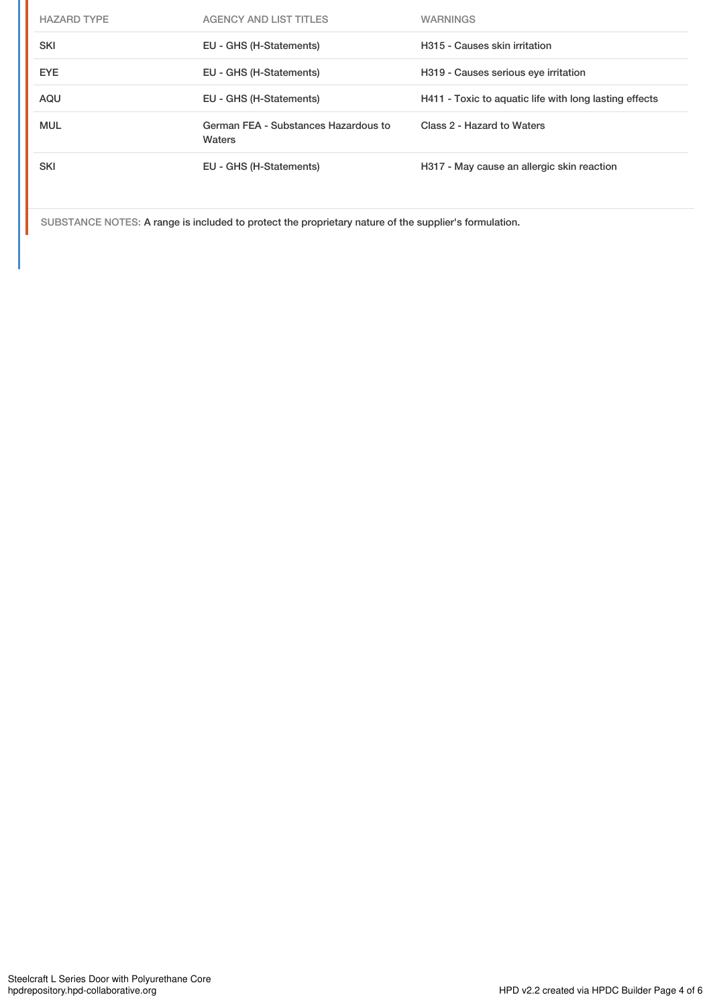| <b>HAZARD TYPE</b> | <b>AGENCY AND LIST TITLES</b>                  | <b>WARNINGS</b>                                        |
|--------------------|------------------------------------------------|--------------------------------------------------------|
| <b>SKI</b>         | EU - GHS (H-Statements)                        | H315 - Causes skin irritation                          |
| <b>EYE</b>         | EU - GHS (H-Statements)                        | H319 - Causes serious eye irritation                   |
| AQU                | EU - GHS (H-Statements)                        | H411 - Toxic to aquatic life with long lasting effects |
| <b>MUL</b>         | German FEA - Substances Hazardous to<br>Waters | Class 2 - Hazard to Waters                             |
| <b>SKI</b>         | EU - GHS (H-Statements)                        | H317 - May cause an allergic skin reaction             |

SUBSTANCE NOTES: A range is included to protect the proprietary nature of the supplier's formulation.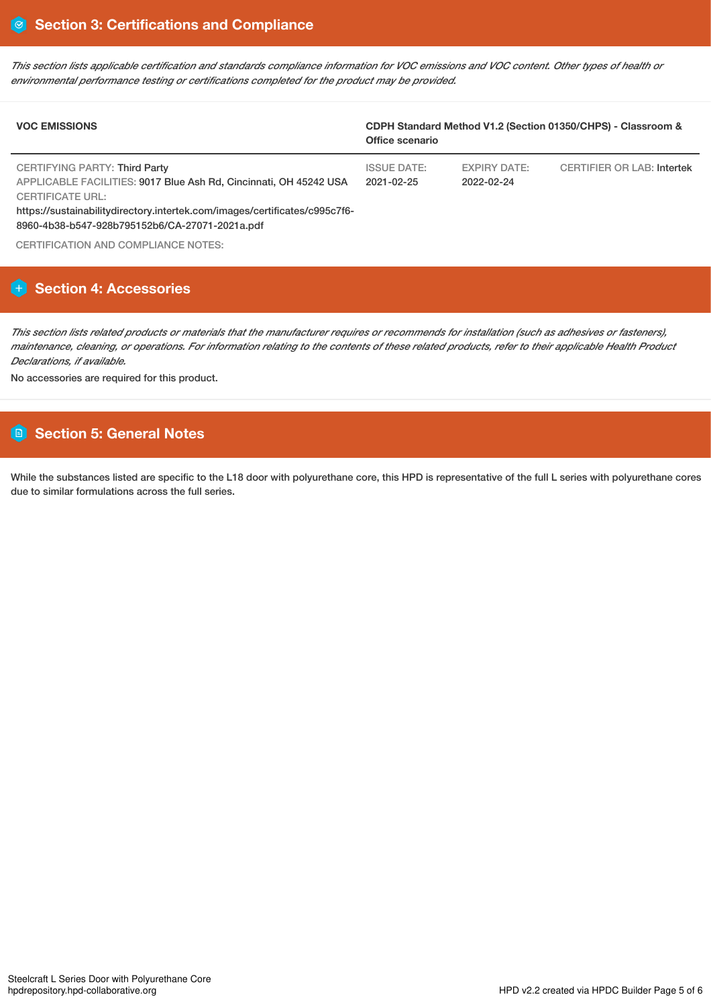This section lists applicable certification and standards compliance information for VOC emissions and VOC content. Other types of health or *environmental performance testing or certifications completed for the product may be provided.*

| <b>VOC EMISSIONS</b>                                                                                                                                                                                                                                          | CDPH Standard Method V1.2 (Section 01350/CHPS) - Classroom &<br>Office scenario |                                   |                            |
|---------------------------------------------------------------------------------------------------------------------------------------------------------------------------------------------------------------------------------------------------------------|---------------------------------------------------------------------------------|-----------------------------------|----------------------------|
| CERTIFYING PARTY: Third Party<br>APPLICABLE FACILITIES: 9017 Blue Ash Rd, Cincinnati, OH 45242 USA<br><b>CERTIFICATE URL:</b><br>https://sustainabilitydirectory.intertek.com/images/certificates/c995c7f6-<br>8960-4b38-b547-928b795152b6/CA-27071-2021a.pdf | <b>ISSUE DATE:</b><br>$2021 - 02 - 25$                                          | <b>EXPIRY DATE:</b><br>2022-02-24 | CERTIFIER OR LAB: Intertek |
| CERTIFICATION AND COMPLIANCE NOTES:                                                                                                                                                                                                                           |                                                                                 |                                   |                            |

# **Section 4: Accessories**

This section lists related products or materials that the manufacturer requires or recommends for installation (such as adhesives or fasteners), maintenance, cleaning, or operations. For information relating to the contents of these related products, refer to their applicable Health Product *Declarations, if available.*

No accessories are required for this product.

# **Section 5: General Notes**

While the substances listed are specific to the L18 door with polyurethane core, this HPD is representative of the full L series with polyurethane cores due to similar formulations across the full series.